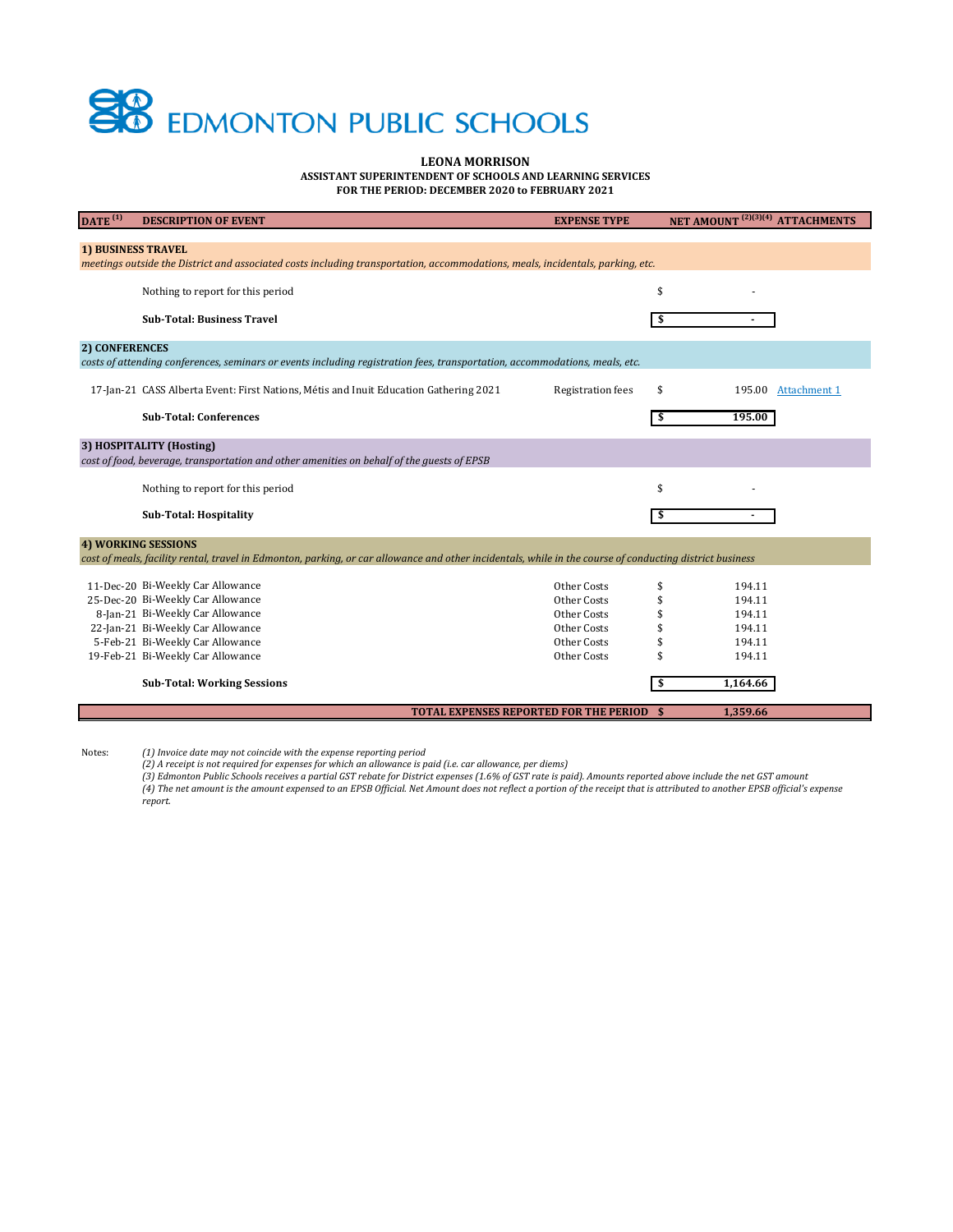# **EDMONTON PUBLIC SCHOOLS**

**LEONA MORRISON**

**ASSISTANT SUPERINTENDENT OF SCHOOLS AND LEARNING SERVICES**

**FOR THE PERIOD: DECEMBER 2020 to FEBRUARY 2021**

| $\overline{DATE}$ <sup>(1)</sup>                                                                                               | <b>DESCRIPTION OF EVENT</b>                                                                                                                              | <b>EXPENSE TYPE</b>      | NET AMOUNT <sup>(2)(3)(4)</sup> ATTACHMENTS |  |  |  |
|--------------------------------------------------------------------------------------------------------------------------------|----------------------------------------------------------------------------------------------------------------------------------------------------------|--------------------------|---------------------------------------------|--|--|--|
|                                                                                                                                |                                                                                                                                                          |                          |                                             |  |  |  |
| <b>1) BUSINESS TRAVEL</b>                                                                                                      |                                                                                                                                                          |                          |                                             |  |  |  |
| meetings outside the District and associated costs including transportation, accommodations, meals, incidentals, parking, etc. |                                                                                                                                                          |                          |                                             |  |  |  |
|                                                                                                                                | Nothing to report for this period                                                                                                                        |                          | \$                                          |  |  |  |
|                                                                                                                                | <b>Sub-Total: Business Travel</b>                                                                                                                        |                          |                                             |  |  |  |
| 2) CONFERENCES                                                                                                                 |                                                                                                                                                          |                          |                                             |  |  |  |
| costs of attending conferences, seminars or events including registration fees, transportation, accommodations, meals, etc.    |                                                                                                                                                          |                          |                                             |  |  |  |
|                                                                                                                                |                                                                                                                                                          |                          |                                             |  |  |  |
|                                                                                                                                | 17-Jan-21 CASS Alberta Event: First Nations, Métis and Inuit Education Gathering 2021                                                                    | <b>Registration fees</b> | \$<br>195.00 Attachment 1                   |  |  |  |
|                                                                                                                                | <b>Sub-Total: Conferences</b>                                                                                                                            |                          | 195.00<br>\$                                |  |  |  |
|                                                                                                                                |                                                                                                                                                          |                          |                                             |  |  |  |
|                                                                                                                                | 3) HOSPITALITY (Hosting)                                                                                                                                 |                          |                                             |  |  |  |
|                                                                                                                                | cost of food, beverage, transportation and other amenities on behalf of the guests of EPSB                                                               |                          |                                             |  |  |  |
|                                                                                                                                |                                                                                                                                                          |                          |                                             |  |  |  |
|                                                                                                                                | Nothing to report for this period                                                                                                                        |                          | \$                                          |  |  |  |
|                                                                                                                                | <b>Sub-Total: Hospitality</b>                                                                                                                            |                          | \$                                          |  |  |  |
| <b>4) WORKING SESSIONS</b>                                                                                                     |                                                                                                                                                          |                          |                                             |  |  |  |
|                                                                                                                                | cost of meals, facility rental, travel in Edmonton, parking, or car allowance and other incidentals, while in the course of conducting district business |                          |                                             |  |  |  |
|                                                                                                                                |                                                                                                                                                          |                          |                                             |  |  |  |
|                                                                                                                                | 11-Dec-20 Bi-Weekly Car Allowance                                                                                                                        | Other Costs              | \$<br>194.11                                |  |  |  |
|                                                                                                                                | 25-Dec-20 Bi-Weekly Car Allowance                                                                                                                        | Other Costs              | \$<br>194.11                                |  |  |  |
|                                                                                                                                | 8-Jan-21 Bi-Weekly Car Allowance                                                                                                                         | Other Costs              | \$<br>194.11                                |  |  |  |
|                                                                                                                                | 22-Jan-21 Bi-Weekly Car Allowance                                                                                                                        | Other Costs              | \$<br>194.11                                |  |  |  |
|                                                                                                                                | 5-Feb-21 Bi-Weekly Car Allowance                                                                                                                         | Other Costs              | \$<br>194.11                                |  |  |  |
|                                                                                                                                | 19-Feb-21 Bi-Weekly Car Allowance                                                                                                                        | Other Costs              | 194.11                                      |  |  |  |
|                                                                                                                                | <b>Sub-Total: Working Sessions</b>                                                                                                                       |                          | 1,164.66<br>\$                              |  |  |  |
|                                                                                                                                |                                                                                                                                                          |                          |                                             |  |  |  |
|                                                                                                                                | <b>TOTAL EXPENSES REPORTED FOR THE PERIOD \$</b>                                                                                                         |                          | 1,359.66                                    |  |  |  |

Notes: *(1) Invoice date may not coincide with the expense reporting period (2) A receipt is not required for expenses for which an allowance is paid (i.e. car allowance, per diems)*

(3) Edmonton Public Schools receives a partial GST rebate for District expenses (1.6% of GST rate is paid). Amounts reported above include the net GST amount<br>(4) The net amount is the amount expensed to an EPSB Official. N *report.*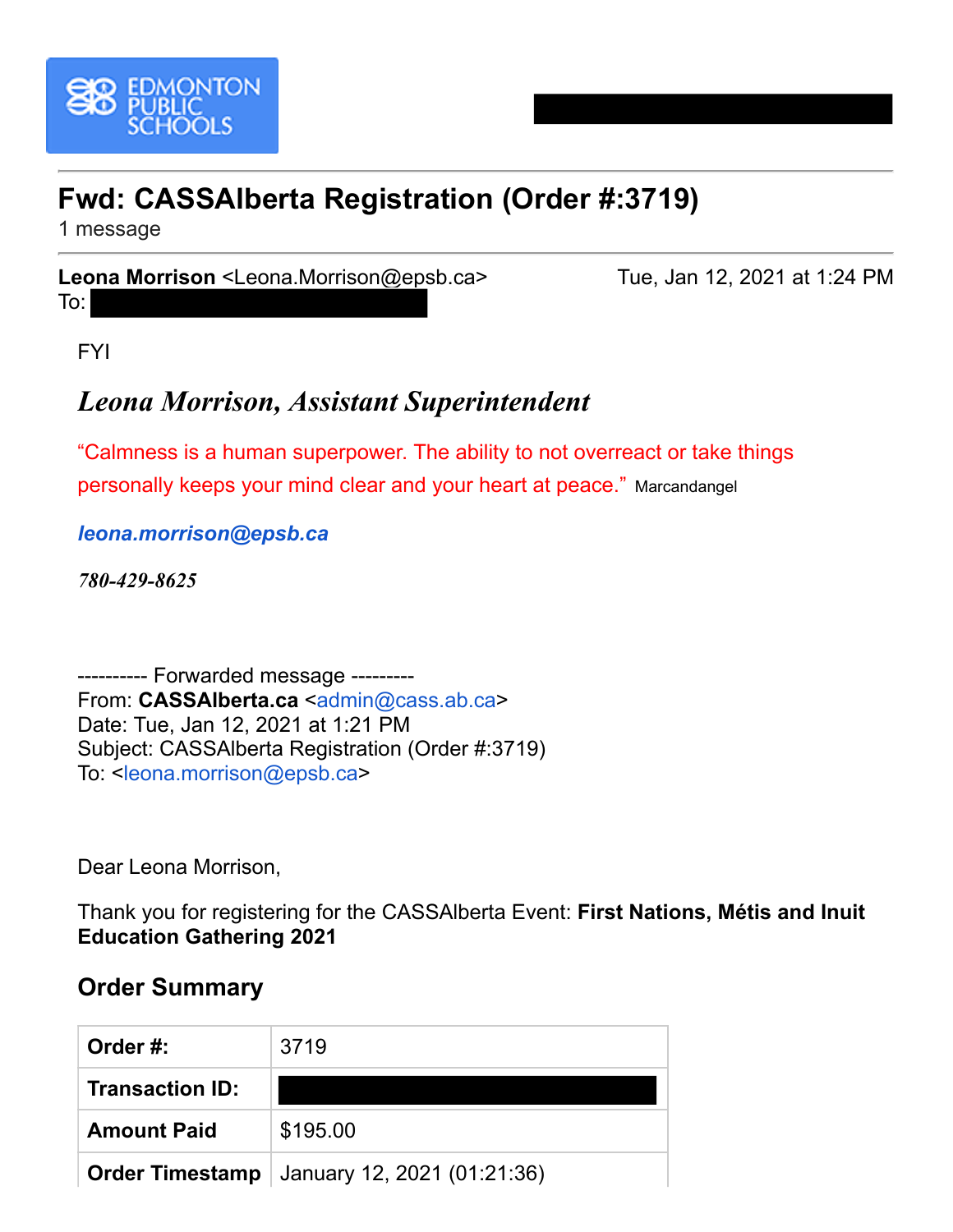<span id="page-1-0"></span>

## **Fwd: CASSAlberta Registration (Order #:3719)**

1 message

**Leona Morrison** <Leona.Morrison@epsb.ca> Tue, Jan 12, 2021 at 1:24 PM

FYI

To:

## *Leona Morrison, Assistant Superintendent*

"Calmness is a human superpower. The ability to not overreact or take things personally keeps your mind clear and your heart at peace." Marcandangel

*[leona.morrison@epsb.ca](http://leona.morrison@epsb.ca/)*

*780-429-8625*

---------- Forwarded message --------- From: **CASSAlberta.ca** <[admin@cass.ab.ca](mailto:admin@cass.ab.ca)> Date: Tue, Jan 12, 2021 at 1:21 PM Subject: CASSAlberta Registration (Order #:3719) To: <[leona.morrison@epsb.ca](mailto:leona.morrison@epsb.ca)>

Dear Leona Morrison,

Thank you for registering for the CASSAlberta Event: **First Nations, Métis and Inuit Education Gathering 2021**

#### **Order Summary**

| Order #:               | 3719                                                 |
|------------------------|------------------------------------------------------|
| <b>Transaction ID:</b> |                                                      |
| <b>Amount Paid</b>     | \$195.00                                             |
|                        | <b>Order Timestamp</b>   January 12, 2021 (01:21:36) |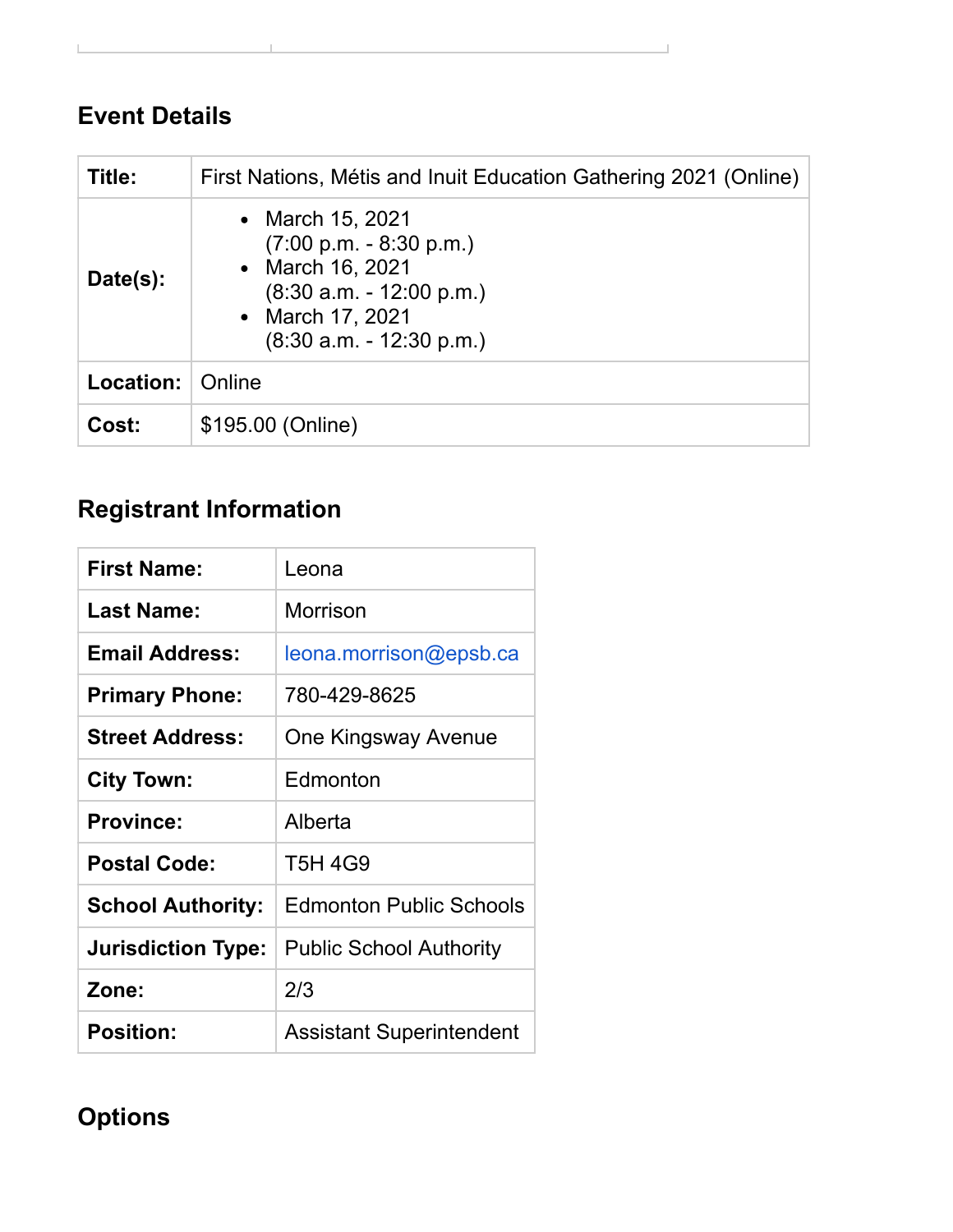### **Event Details**

| Title:    | First Nations, Métis and Inuit Education Gathering 2021 (Online)                                                                                                  |  |  |
|-----------|-------------------------------------------------------------------------------------------------------------------------------------------------------------------|--|--|
| Date(s):  | • March 15, 2021<br>$(7:00 \text{ p.m.} - 8:30 \text{ p.m.})$<br>• March 16, 2021<br>$(8:30 a.m. - 12:00 p.m.)$<br>• March 17, 2021<br>$(8:30 a.m. - 12:30 p.m.)$ |  |  |
| Location: | Online                                                                                                                                                            |  |  |
| Cost:     | \$195.00 (Online)                                                                                                                                                 |  |  |

# **Registrant Information**

| <b>First Name:</b>        | Leona                           |
|---------------------------|---------------------------------|
| <b>Last Name:</b>         | Morrison                        |
| <b>Email Address:</b>     | leona.morrison@epsb.ca          |
| <b>Primary Phone:</b>     | 780-429-8625                    |
| <b>Street Address:</b>    | <b>One Kingsway Avenue</b>      |
| <b>City Town:</b>         | Edmonton                        |
| <b>Province:</b>          | Alberta                         |
| <b>Postal Code:</b>       | <b>T5H 4G9</b>                  |
| <b>School Authority:</b>  | <b>Edmonton Public Schools</b>  |
| <b>Jurisdiction Type:</b> | <b>Public School Authority</b>  |
| Zone:                     | 2/3                             |
| <b>Position:</b>          | <b>Assistant Superintendent</b> |

## **Options**